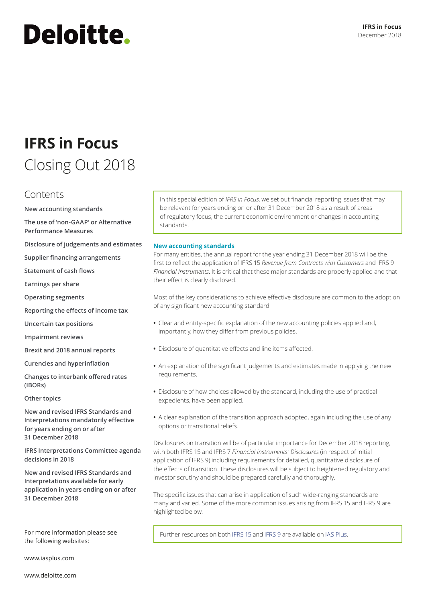# **Deloitte.**

### **IFRS in Focus** Closing Out 2018

### Contents

**[New accounting standards](#page-0-0)**

**The use of 'non‑GAAP' or Alternative Performance Measures**

**[Disclosure of judgements and estimates](#page-6-0)**

**[Supplier financing arrangements](#page-7-0)**

**[Statement of cash flows](#page-8-0)**

**[Earnings per share](#page-8-1)**

**[Operating segments](#page-9-0)**

**[Reporting the effects of income tax](#page-9-1)**

**[Uncertain tax positions](#page-11-0)**

**[Impairment reviews](#page-11-1)**

**[Brexit and 2018 annual reports](#page-12-0)**

**[Curencies and hyperinflation](#page-13-0)**

**[Changes to interbank offered rates](#page-13-1)  [\(IBORs\)](#page-13-1)**

**[Other topics](#page-13-2)**

**[New and revised IFRS Standards and](#page-14-0)  [Interpretations mandatorily effective](#page-14-0)  [for years ending on or after](#page-14-0)  [31 December 2018](#page-14-0)**

**[IFRS Interpretations Committee agenda](#page-16-0)  [decisions in 2018](#page-16-0)**

**[New and revised IFRS Standards and](#page-16-1)  [Interpretations available for early](#page-16-1)  [application in years ending on or after](#page-16-1)  [31 December 2018](#page-16-1)**

the following websites:

[www.iasplus.com](http://www.iasplus.com)

In this special edition of *IFRS in Focus*, we set out financial reporting issues that may be relevant for years ending on or after 31 December 2018 as a result of areas of regulatory focus, the current economic environment or changes in accounting standards.

#### <span id="page-0-0"></span>**New accounting standards**

For many entities, the annual report for the year ending 31 December 2018 will be the first to reflect the application of IFRS 15 *Revenue from Contracts with Customers* and IFRS 9 *Financial Instruments*. It is critical that these major standards are properly applied and that their effect is clearly disclosed.

Most of the key considerations to achieve effective disclosure are common to the adoption of any significant new accounting standard:

- **•** Clear and entity‑specific explanation of the new accounting policies applied and, importantly, how they differ from previous policies.
- **•** Disclosure of quantitative effects and line items affected.
- **•** An explanation of the significant judgements and estimates made in applying the new requirements.
- **•** Disclosure of how choices allowed by the standard, including the use of practical expedients, have been applied.
- **•** A clear explanation of the transition approach adopted, again including the use of any options or transitional reliefs.

Disclosures on transition will be of particular importance for December 2018 reporting, with both IFRS 15 and IFRS 7 *Financial Instruments: Disclosures* (in respect of initial application of IFRS 9) including requirements for detailed, quantitative disclosure of the effects of transition. These disclosures will be subject to heightened regulatory and investor scrutiny and should be prepared carefully and thoroughly.

The specific issues that can arise in application of such wide-ranging standards are many and varied. Some of the more common issues arising from IFRS 15 and IFRS 9 are highlighted below.

For more information please see Further resources on both [IFRS 15](https://www.iasplus.com/en/collections/revenue) and [IFRS 9](https://www.iasplus.com/en-gb/collections/ifrs-9-resources-1) are available on [IAS Plus](https://www.iasplus.com/en).

[www.deloitte.com](http://www.deloitte.com)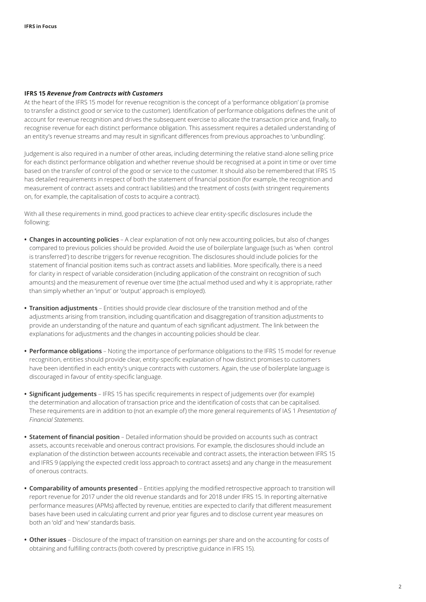#### **IFRS 15** *Revenue from Contracts with Customers*

At the heart of the IFRS 15 model for revenue recognition is the concept of a 'performance obligation' (a promise to transfer a distinct good or service to the customer). Identification of performance obligations defines the unit of account for revenue recognition and drives the subsequent exercise to allocate the transaction price and, finally, to recognise revenue for each distinct performance obligation. This assessment requires a detailed understanding of an entity's revenue streams and may result in significant differences from previous approaches to 'unbundling'.

Judgement is also required in a number of other areas, including determining the relative stand‑alone selling price for each distinct performance obligation and whether revenue should be recognised at a point in time or over time based on the transfer of control of the good or service to the customer. It should also be remembered that IFRS 15 has detailed requirements in respect of both the statement of financial position (for example, the recognition and measurement of contract assets and contract liabilities) and the treatment of costs (with stringent requirements on, for example, the capitalisation of costs to acquire a contract).

With all these requirements in mind, good practices to achieve clear entity-specific disclosures include the following:

- **• Changes in accounting policies** A clear explanation of not only new accounting policies, but also of changes compared to previous policies should be provided. Avoid the use of boilerplate language (such as 'when control is transferred') to describe triggers for revenue recognition. The disclosures should include policies for the statement of financial position items such as contract assets and liabilities. More specifically, there is a need for clarity in respect of variable consideration (including application of the constraint on recognition of such amounts) and the measurement of revenue over time (the actual method used and why it is appropriate, rather than simply whether an 'input' or 'output' approach is employed).
- **• Transition adjustments** Entities should provide clear disclosure of the transition method and of the adjustments arising from transition, including quantification and disaggregation of transition adjustments to provide an understanding of the nature and quantum of each significant adjustment. The link between the explanations for adjustments and the changes in accounting policies should be clear.
- **• Performance obligations** Noting the importance of performance obligations to the IFRS 15 model for revenue recognition, entities should provide clear, entity‑specific explanation of how distinct promises to customers have been identified in each entity's unique contracts with customers. Again, the use of boilerplate language is discouraged in favour of entity‑specific language.
- **• Significant judgements** IFRS 15 has specific requirements in respect of judgements over (for example) the determination and allocation of transaction price and the identification of costs that can be capitalised. These requirements are in addition to (not an example of) the more general requirements of IAS 1 *Presentation of Financial Statements*.
- **• Statement of financial position** Detailed information should be provided on accounts such as contract assets, accounts receivable and onerous contract provisions. For example, the disclosures should include an explanation of the distinction between accounts receivable and contract assets, the interaction between IFRS 15 and IFRS 9 (applying the expected credit loss approach to contract assets) and any change in the measurement of onerous contracts.
- **• Comparability of amounts presented** Entities applying the modified retrospective approach to transition will report revenue for 2017 under the old revenue standards and for 2018 under IFRS 15. In reporting alternative performance measures (APMs) affected by revenue, entities are expected to clarify that different measurement bases have been used in calculating current and prior year figures and to disclose current year measures on both an 'old' and 'new' standards basis.
- **• Other issues** Disclosure of the impact of transition on earnings per share and on the accounting for costs of obtaining and fulfilling contracts (both covered by prescriptive guidance in IFRS 15).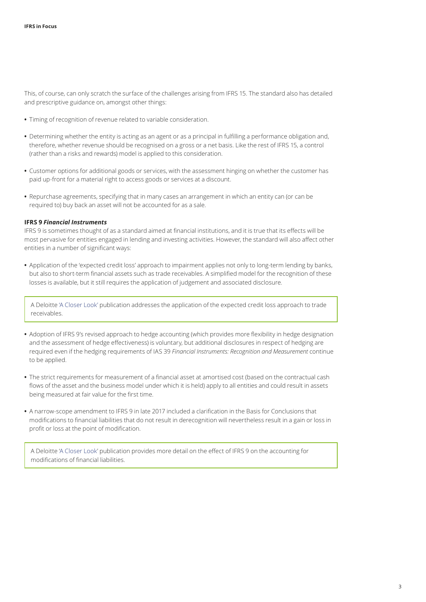This, of course, can only scratch the surface of the challenges arising from IFRS 15. The standard also has detailed and prescriptive guidance on, amongst other things:

- **•** Timing of recognition of revenue related to variable consideration.
- **•** Determining whether the entity is acting as an agent or as a principal in fulfilling a performance obligation and, therefore, whether revenue should be recognised on a gross or a net basis. Like the rest of IFRS 15, a control (rather than a risks and rewards) model is applied to this consideration.
- **•** Customer options for additional goods or services, with the assessment hinging on whether the customer has paid up‑front for a material right to access goods or services at a discount.
- **•** Repurchase agreements, specifying that in many cases an arrangement in which an entity can (or can be required to) buy back an asset will not be accounted for as a sale.

#### **IFRS 9** *Financial Instruments*

IFRS 9 is sometimes thought of as a standard aimed at financial institutions, and it is true that its effects will be most pervasive for entities engaged in lending and investing activities. However, the standard will also affect other entities in a number of significant ways:

• Application of the 'expected credit loss' approach to impairment applies not only to long-term lending by banks, but also to short-term financial assets such as trade receivables. A simplified model for the recognition of these losses is available, but it still requires the application of judgement and associated disclosure.

A Deloitte ['A Closer Look'](https://www.iasplus.com/en/publications/global/a-closer-look/provision-matrix?set_language=en) publication addresses the application of the expected credit loss approach to trade receivables.

- **•** Adoption of IFRS 9's revised approach to hedge accounting (which provides more flexibility in hedge designation and the assessment of hedge effectiveness) is voluntary, but additional disclosures in respect of hedging are required even if the hedging requirements of IAS 39 *Financial Instruments: Recognition and Measurement* continue to be applied.
- **•** The strict requirements for measurement of a financial asset at amortised cost (based on the contractual cash flows of the asset and the business model under which it is held) apply to all entities and could result in assets being measured at fair value for the first time.
- **•** A narrow-scope amendment to IFRS 9 in late 2017 included a clarification in the Basis for Conclusions that modifications to financial liabilities that do not result in derecognition will nevertheless result in a gain or loss in profit or loss at the point of modification.

A Deloitte ['A Closer Look'](https://www.iasplus.com/en/publications/global/a-closer-look/ifrs-9-modification) publication provides more detail on the effect of IFRS 9 on the accounting for modifications of financial liabilities.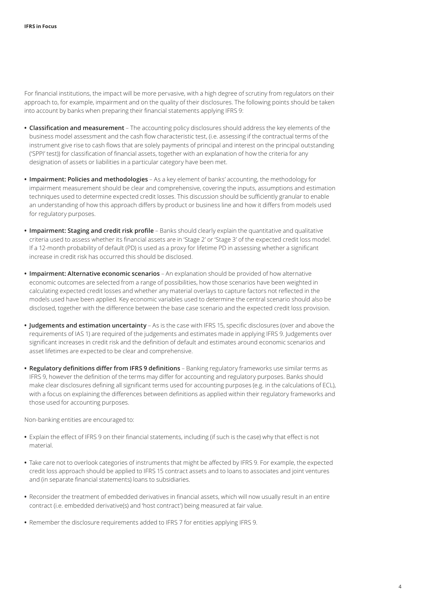For financial institutions, the impact will be more pervasive, with a high degree of scrutiny from regulators on their approach to, for example, impairment and on the quality of their disclosures. The following points should be taken into account by banks when preparing their financial statements applying IFRS 9:

- **• Classification and measurement** The accounting policy disclosures should address the key elements of the business model assessment and the cash flow characteristic test, (i.e. assessing if the contractual terms of the instrument give rise to cash flows that are solely payments of principal and interest on the principal outstanding ('SPPI' test)) for classification of financial assets, together with an explanation of how the criteria for any designation of assets or liabilities in a particular category have been met.
- **• Impairment: Policies and methodologies** As a key element of banks' accounting, the methodology for impairment measurement should be clear and comprehensive, covering the inputs, assumptions and estimation techniques used to determine expected credit losses. This discussion should be sufficiently granular to enable an understanding of how this approach differs by product or business line and how it differs from models used for regulatory purposes.
- **• Impairment: Staging and credit risk profile** Banks should clearly explain the quantitative and qualitative criteria used to assess whether its financial assets are in 'Stage 2' or 'Stage 3' of the expected credit loss model. If a 12-month probability of default (PD) is used as a proxy for lifetime PD in assessing whether a significant increase in credit risk has occurred this should be disclosed.
- **• Impairment: Alternative economic scenarios** An explanation should be provided of how alternative economic outcomes are selected from a range of possibilities, how those scenarios have been weighted in calculating expected credit losses and whether any material overlays to capture factors not reflected in the models used have been applied. Key economic variables used to determine the central scenario should also be disclosed, together with the difference between the base case scenario and the expected credit loss provision.
- **• Judgements and estimation uncertainty** As is the case with IFRS 15, specific disclosures (over and above the requirements of IAS 1) are required of the judgements and estimates made in applying IFRS 9. Judgements over significant increases in credit risk and the definition of default and estimates around economic scenarios and asset lifetimes are expected to be clear and comprehensive.
- **• Regulatory definitions differ from IFRS 9 definitions** Banking regulatory frameworks use similar terms as IFRS 9, however the definition of the terms may differ for accounting and regulatory purposes. Banks should make clear disclosures defining all significant terms used for accounting purposes (e.g. in the calculations of ECL), with a focus on explaining the differences between definitions as applied within their regulatory frameworks and those used for accounting purposes.

Non-banking entities are encouraged to:

- **•** Explain the effect of IFRS 9 on their financial statements, including (if such is the case) why that effect is not material.
- **•** Take care not to overlook categories of instruments that might be affected by IFRS 9. For example, the expected credit loss approach should be applied to IFRS 15 contract assets and to loans to associates and joint ventures and (in separate financial statements) loans to subsidiaries.
- **•** Reconsider the treatment of embedded derivatives in financial assets, which will now usually result in an entire contract (i.e. embedded derivative(s) and 'host contract') being measured at fair value.
- **•** Remember the disclosure requirements added to IFRS 7 for entities applying IFRS 9.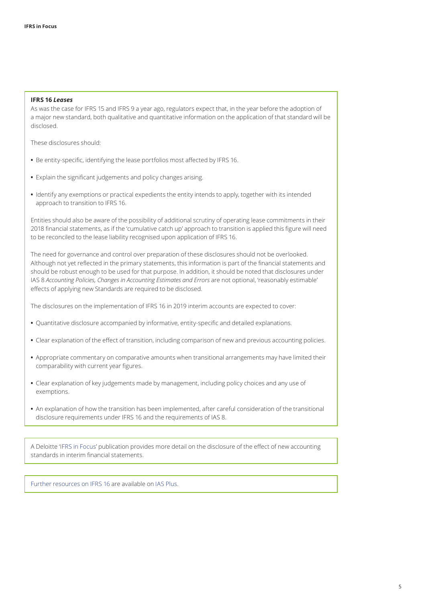#### **IFRS 16** *Leases*

As was the case for IFRS 15 and IFRS 9 a year ago, regulators expect that, in the year before the adoption of a major new standard, both qualitative and quantitative information on the application of that standard will be disclosed.

These disclosures should:

- **•** Be entity-specific, identifying the lease portfolios most affected by IFRS 16.
- **•** Explain the significant judgements and policy changes arising.
- **•** Identify any exemptions or practical expedients the entity intends to apply, together with its intended approach to transition to IFRS 16.

Entities should also be aware of the possibility of additional scrutiny of operating lease commitments in their 2018 financial statements, as if the 'cumulative catch up' approach to transition is applied this figure will need to be reconciled to the lease liability recognised upon application of IFRS 16.

The need for governance and control over preparation of these disclosures should not be overlooked. Although not yet reflected in the primary statements, this information is part of the financial statements and should be robust enough to be used for that purpose. In addition, it should be noted that disclosures under IAS 8 *Accounting Policies, Changes in Accounting Estimates and Errors* are not optional, 'reasonably estimable' effects of applying new Standards are required to be disclosed.

The disclosures on the implementation of IFRS 16 in 2019 interim accounts are expected to cover:

- **•** Quantitative disclosure accompanied by informative, entity‑specific and detailed explanations.
- **•** Clear explanation of the effect of transition, including comparison of new and previous accounting policies.
- **•** Appropriate commentary on comparative amounts when transitional arrangements may have limited their comparability with current year figures.
- **•** Clear explanation of key judgements made by management, including policy choices and any use of exemptions.
- **•** An explanation of how the transition has been implemented, after careful consideration of the transitional disclosure requirements under IFRS 16 and the requirements of IAS 8.

A Deloitte '[IFRS in Focus](https://www.iasplus.com/en/publications/global/ifrs-in-focus/2018/interim-financial-statements)' publication provides more detail on the disclosure of the effect of new accounting standards in interim financial statements.

[Further resources on IFRS 16](https://www.iasplus.com/en-gb/collections/ifrs-16-resources-1) are available on [IAS Plus](https://www.iasplus.com/en).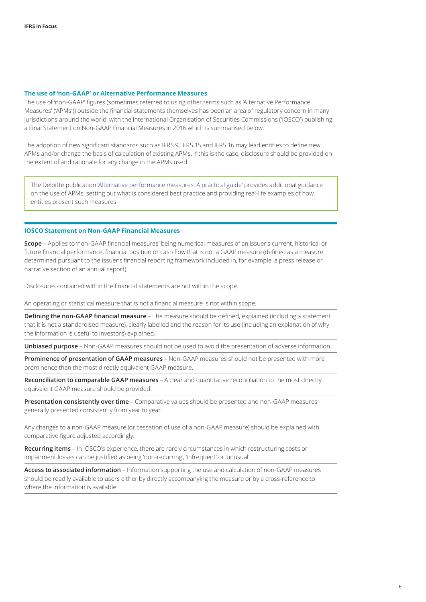#### **The use of 'non‑GAAP' or Alternative Performance Measures**

The use of 'non‑GAAP' figures (sometimes referred to using other terms such as 'Alternative Performance Measures' ('APMs')) outside the financial statements themselves has been an area of regulatory concern in many jurisdictions around the world, with the International Organisation of Securities Commissions ('IOSCO') publishing a Final Statement on Non‑GAAP Financial Measures in 2016 which is summarised below.

The adoption of new significant standards such as IFRS 9, IFRS 15 and IFRS 16 may lead entities to define new APMs and/or change the basis of calculation of existing APMs. If this is the case, disclosure should be provided on the extent of and rationale for any change in the APMs used.

The Deloitte publication ['Alternative performance measures: A practical guide'](https://www.iasplus.com/en/publications/global/other/apm) provides additional guidance on the use of APMs, setting out what is considered best practice and providing real‑life examples of how entities present such measures.

#### **IOSCO Statement on Non‑GAAP Financial Measures**

**Scope** – Applies to 'non‑GAAP financial measures' being numerical measures of an issuer's current, historical or future financial performance, financial position or cash flow that is not a GAAP measure (defined as a measure determined pursuant to the issuer's financial reporting framework included in, for example, a press release or narrative section of an annual report).

Disclosures contained within the financial statements are not within the scope.

An operating or statistical measure that is not a financial measure is not within scope.

**Defining the non‑GAAP financial measure** – The measure should be defined, explained (including a statement that it is not a standardised measure), clearly labelled and the reason for its use (including an explanation of why the information is useful to investors) explained.

**Unbiased purpose** – Non‑GAAP measures should not be used to avoid the presentation of adverse information.

**Prominence of presentation of GAAP measures** – Non‑GAAP measures should not be presented with more prominence than the most directly equivalent GAAP measure.

**Reconciliation to comparable GAAP measures** – A clear and quantitative reconciliation to the most directly equivalent GAAP measure should be provided.

**Presentation consistently over time** – Comparative values should be presented and non‑GAAP measures generally presented consistently from year to year.

Any changes to a non‑GAAP measure (or cessation of use of a non‑GAAP measure) should be explained with comparative figure adjusted accordingly.

**Recurring items** – In IOSCO's experience, there are rarely circumstances in which restructuring costs or impairment losses can be justified as being 'non‑recurring', 'infrequent' or 'unusual'.

**Access to associated information** – Information supporting the use and calculation of non‑GAAP measures should be readily available to users either by directly accompanying the measure or by a cross-reference to where the information is available.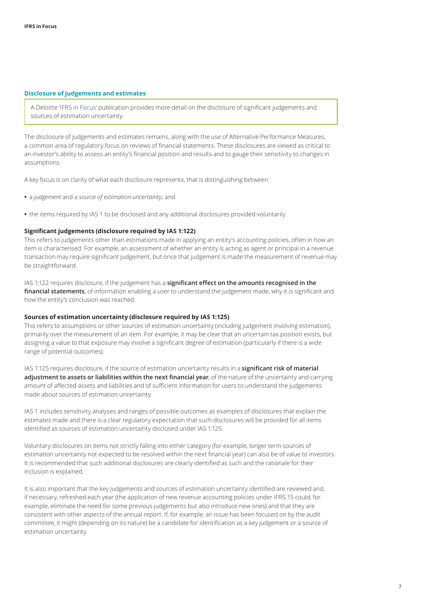#### <span id="page-6-0"></span>**Disclosure of judgements and estimates**

A Deloitte '[IFRS in Focus](https://www.iasplus.com/en/publications/global/ifrs-in-focus/2017/ias-1-disclosures)' publication provides more detail on the disclosure of significant judgements and sources of estimation uncertainty.

The disclosure of judgements and estimates remains, along with the use of Alternative Performance Measures, a common area of regulatory focus on reviews of financial statements. These disclosures are viewed as critical to an investor's ability to assess an entity's financial position and results and to gauge their sensitivity to changes in assumptions.

A key focus is on clarity of what each disclosure represents, that is distinguishing between :

- **•** a *judgement* and a *source of estimation uncertainty*; and
- **•** the items required by IAS 1 to be disclosed and any additional disclosures provided voluntarily.

#### **Significant judgements (disclosure required by IAS 1:122)**

This refers to judgements other than estimations made in applying an entity's accounting policies, often in how an item is characterised. For example, an assessment of whether an entity is acting as agent or principal in a revenue transaction may require significant judgement, but once that judgement is made the measurement of revenue may be straightforward.

IAS 1:122 requires disclosure, if the judgement has a **significant effect on the amounts recognised in the financial statements**, of information enabling a user to understand the judgement made, why it is significant and how the entity's conclusion was reached.

#### **Sources of estimation uncertainty (disclosure required by IAS 1:125)**

This refers to assumptions or other sources of estimation uncertainty (including judgement involving estimation), primarily over the measurement of an item. For example, it may be clear that an uncertain tax position exists, but assigning a value to that exposure may involve a significant degree of estimation (particularly if there is a wide range of potential outcomes).

IAS 1:125 requires disclosure, if the source of estimation uncertainty results in a **significant risk of material adjustment to assets or liabilities within the next financial year**, of the nature of the uncertainty and carrying amount of affected assets and liabilities and of sufficient information for users to understand the judgements made about sources of estimation uncertainty.

IAS 1 includes sensitivity analyses and ranges of possible outcomes as examples of disclosures that explain the estimates made and there is a clear regulatory expectation that such disclosures will be provided for all items identified as sources of estimation uncertainty disclosed under IAS 1:125.

Voluntary disclosures on items not strictly falling into either category (for example, longer term sources of estimation uncertainty not expected to be resolved within the next financial year) can also be of value to investors. It is recommended that such additional disclosures are clearly identified as such and the rationale for their inclusion is explained.

It is also important that the key judgements and sources of estimation uncertainty identified are reviewed and, if necessary, refreshed each year (the application of new revenue accounting policies under IFRS 15 could, for example, eliminate the need for some previous judgements but also introduce new ones) and that they are consistent with other aspects of the annual report. If, for example, an issue has been focused on by the audit committee, it might (depending on its nature) be a candidate for identification as a key judgement or a source of estimation uncertainty.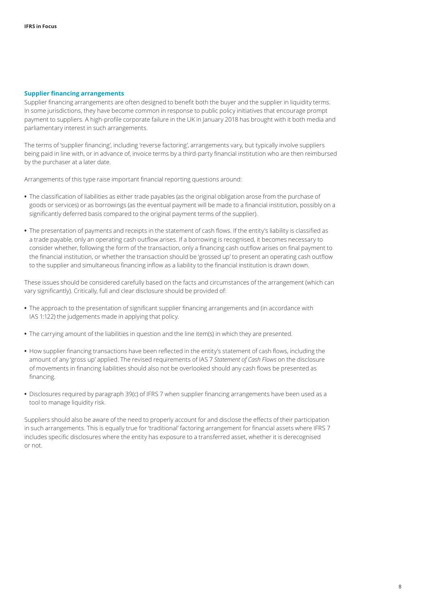#### <span id="page-7-0"></span>**Supplier financing arrangements**

Supplier financing arrangements are often designed to benefit both the buyer and the supplier in liquidity terms. In some jurisdictions, they have become common in response to public policy initiatives that encourage prompt payment to suppliers. A high‑profile corporate failure in the UK in January 2018 has brought with it both media and parliamentary interest in such arrangements.

The terms of 'supplier financing', including 'reverse factoring', arrangements vary, but typically involve suppliers being paid in line with, or in advance of, invoice terms by a third-party financial institution who are then reimbursed by the purchaser at a later date.

Arrangements of this type raise important financial reporting questions around:

- **•** The classification of liabilities as either trade payables (as the original obligation arose from the purchase of goods or services) or as borrowings (as the eventual payment will be made to a financial institution, possibly on a significantly deferred basis compared to the original payment terms of the supplier).
- **•** The presentation of payments and receipts in the statement of cash flows. If the entity's liability is classified as a trade payable, only an operating cash outflow arises. If a borrowing is recognised, it becomes necessary to consider whether, following the form of the transaction, only a financing cash outflow arises on final payment to the financial institution, or whether the transaction should be 'grossed up' to present an operating cash outflow to the supplier and simultaneous financing inflow as a liability to the financial institution is drawn down.

These issues should be considered carefully based on the facts and circumstances of the arrangement (which can vary significantly). Critically, full and clear disclosure should be provided of:

- **•** The approach to the presentation of significant supplier financing arrangements and (in accordance with IAS 1:122) the judgements made in applying that policy.
- **•** The carrying amount of the liabilities in question and the line item(s) in which they are presented.
- **•** How supplier financing transactions have been reflected in the entity's statement of cash flows, including the amount of any 'gross up' applied. The revised requirements of IAS 7 *Statement of Cash Flows* on the disclosure of movements in financing liabilities should also not be overlooked should any cash flows be presented as financing.
- **•** Disclosures required by paragraph 39(c) of IFRS 7 when supplier financing arrangements have been used as a tool to manage liquidity risk.

Suppliers should also be aware of the need to properly account for and disclose the effects of their participation in such arrangements. This is equally true for 'traditional' factoring arrangement for financial assets where IFRS 7 includes specific disclosures where the entity has exposure to a transferred asset, whether it is derecognised or not.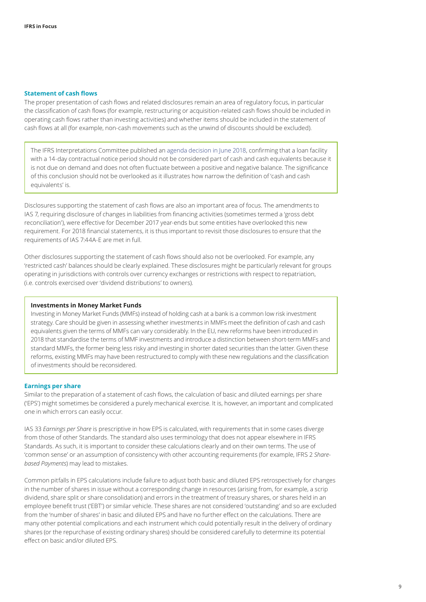#### <span id="page-8-0"></span>**Statement of cash flows**

The proper presentation of cash flows and related disclosures remain an area of regulatory focus, in particular the classification of cash flows (for example, restructuring or acquisition-related cash flows should be included in operating cash flows rather than investing activities) and whether items should be included in the statement of cash flows at all (for example, non-cash movements such as the unwind of discounts should be excluded).

The IFRS Interpretations Committee published an [agenda decision in June 2018](https://www.ifrs.org/news-and-events/updates/ifric-updates/june-2018/), confirming that a loan facility with a 14-day contractual notice period should not be considered part of cash and cash equivalents because it is not due on demand and does not often fluctuate between a positive and negative balance. The significance of this conclusion should not be overlooked as it illustrates how narrow the definition of 'cash and cash equivalents' is.

Disclosures supporting the statement of cash flows are also an important area of focus. The amendments to IAS 7, requiring disclosure of changes in liabilities from financing activities (sometimes termed a 'gross debt reconciliation'), were effective for December 2017 year-ends but some entities have overlooked this new requirement. For 2018 financial statements, it is thus important to revisit those disclosures to ensure that the requirements of IAS 7:44A‑E are met in full.

Other disclosures supporting the statement of cash flows should also not be overlooked. For example, any 'restricted cash' balances should be clearly explained. These disclosures might be particularly relevant for groups operating in jurisdictions with controls over currency exchanges or restrictions with respect to repatriation, (i.e. controls exercised over 'dividend distributions' to owners).

#### **Investments in Money Market Funds**

Investing in Money Market Funds (MMFs) instead of holding cash at a bank is a common low risk investment strategy. Care should be given in assessing whether investments in MMFs meet the definition of cash and cash equivalents given the terms of MMFs can vary considerably. In the EU, new reforms have been introduced in 2018 that standardise the terms of MMF investments and introduce a distinction between short-term MMFs and standard MMFs, the former being less risky and investing in shorter dated securities than the latter. Given these reforms, existing MMFs may have been restructured to comply with these new regulations and the classification of investments should be reconsidered.

#### <span id="page-8-1"></span>**Earnings per share**

Similar to the preparation of a statement of cash flows, the calculation of basic and diluted earnings per share ('EPS') might sometimes be considered a purely mechanical exercise. It is, however, an important and complicated one in which errors can easily occur.

IAS 33 *Earnings per Share* is prescriptive in how EPS is calculated, with requirements that in some cases diverge from those of other Standards. The standard also uses terminology that does not appear elsewhere in IFRS Standards. As such, it is important to consider these calculations clearly and on their own terms. The use of 'common sense' or an assumption of consistency with other accounting requirements (for example, IFRS 2 *Sharebased Payments*) may lead to mistakes.

Common pitfalls in EPS calculations include failure to adjust both basic and diluted EPS retrospectively for changes in the number of shares in issue without a corresponding change in resources (arising from, for example, a scrip dividend, share split or share consolidation) and errors in the treatment of treasury shares, or shares held in an employee benefit trust ('EBT') or similar vehicle. These shares are not considered 'outstanding' and so are excluded from the 'number of shares' in basic and diluted EPS and have no further effect on the calculations. There are many other potential complications and each instrument which could potentially result in the delivery of ordinary shares (or the repurchase of existing ordinary shares) should be considered carefully to determine its potential effect on basic and/or diluted EPS.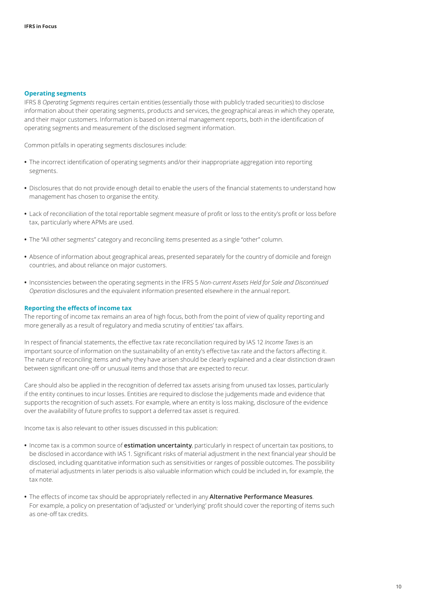#### <span id="page-9-0"></span>**Operating segments**

IFRS 8 *Operating Segments* requires certain entities (essentially those with publicly traded securities) to disclose information about their operating segments, products and services, the geographical areas in which they operate, and their major customers. Information is based on internal management reports, both in the identification of operating segments and measurement of the disclosed segment information.

Common pitfalls in operating segments disclosures include:

- **•** The incorrect identification of operating segments and/or their inappropriate aggregation into reporting segments.
- **•** Disclosures that do not provide enough detail to enable the users of the financial statements to understand how management has chosen to organise the entity.
- **•** Lack of reconciliation of the total reportable segment measure of profit or loss to the entity's profit or loss before tax, particularly where APMs are used.
- **•** The "All other segments" category and reconciling items presented as a single "other" column.
- **•** Absence of information about geographical areas, presented separately for the country of domicile and foreign countries, and about reliance on major customers.
- **•** Inconsistencies between the operating segments in the IFRS 5 *Non-current Assets Held for Sale and Discontinued Operation* disclosures and the equivalent information presented elsewhere in the annual report.

#### <span id="page-9-1"></span>**Reporting the effects of income tax**

The reporting of income tax remains an area of high focus, both from the point of view of quality reporting and more generally as a result of regulatory and media scrutiny of entities' tax affairs.

In respect of financial statements, the effective tax rate reconciliation required by IAS 12 *Income Taxes* is an important source of information on the sustainability of an entity's effective tax rate and the factors affecting it. The nature of reconciling items and why they have arisen should be clearly explained and a clear distinction drawn between significant one-off or unusual items and those that are expected to recur.

Care should also be applied in the recognition of deferred tax assets arising from unused tax losses, particularly if the entity continues to incur losses. Entities are required to disclose the judgements made and evidence that supports the recognition of such assets. For example, where an entity is loss making, disclosure of the evidence over the availability of future profits to support a deferred tax asset is required.

Income tax is also relevant to other issues discussed in this publication:

- **•** Income tax is a common source of **estimation uncertainty**, particularly in respect of uncertain tax positions, to be disclosed in accordance with IAS 1. Significant risks of material adjustment in the next financial year should be disclosed, including quantitative information such as sensitivities or ranges of possible outcomes. The possibility of material adjustments in later periods is also valuable information which could be included in, for example, the tax note.
- **•** The effects of income tax should be appropriately reflected in any **Alternative Performance Measures**. For example, a policy on presentation of 'adjusted' or 'underlying' profit should cover the reporting of items such as one‑off tax credits.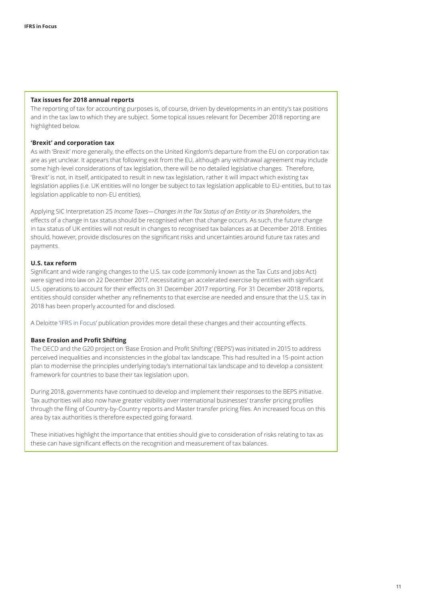#### **Tax issues for 2018 annual reports**

The reporting of tax for accounting purposes is, of course, driven by developments in an entity's tax positions and in the tax law to which they are subject. Some topical issues relevant for December 2018 reporting are highlighted below.

#### **'Brexit' and corporation tax**

As with 'Brexit' more generally, the effects on the United Kingdom's departure from the EU on corporation tax are as yet unclear. It appears that following exit from the EU, although any withdrawal agreement may include some high-level considerations of tax legislation, there will be no detailed legislative changes. Therefore, 'Brexit' is not, in itself, anticipated to result in new tax legislation, rather it will impact which existing tax legislation applies (i.e. UK entities will no longer be subject to tax legislation applicable to EU-entities, but to tax legislation applicable to non-EU entities).

Applying SIC Interpretation 25 *Income Taxes—Changes in the Tax Status of an Entity or its Shareholders*, the effects of a change in tax status should be recognised when that change occurs. As such, the future change in tax status of UK entities will not result in changes to recognised tax balances as at December 2018. Entities should, however, provide disclosures on the significant risks and uncertainties around future tax rates and payments.

#### **U.S. tax reform**

Significant and wide ranging changes to the U.S. tax code (commonly known as the Tax Cuts and Jobs Act) were signed into law on 22 December 2017, necessitating an accelerated exercise by entities with significant U.S. operations to account for their effects on 31 December 2017 reporting. For 31 December 2018 reports, entities should consider whether any refinements to that exercise are needed and ensure that the U.S. tax in 2018 has been properly accounted for and disclosed.

A Deloitte '[IFRS in Focus](https://www.iasplus.com/en/publications/global/ifrs-in-focus/2018/effects-of-the-u-s-tax-reform)' publication provides more detail these changes and their accounting effects.

#### **Base Erosion and Profit Shifting**

The OECD and the G20 project on 'Base Erosion and Profit Shifting' ('BEPS') was initiated in 2015 to address perceived inequalities and inconsistencies in the global tax landscape. This had resulted in a 15‑point action plan to modernise the principles underlying today's international tax landscape and to develop a consistent framework for countries to base their tax legislation upon.

During 2018, governments have continued to develop and implement their responses to the BEPS initiative. Tax authorities will also now have greater visibility over international businesses' transfer pricing profiles through the filing of Country-by-Country reports and Master transfer pricing files. An increased focus on this area by tax authorities is therefore expected going forward.

These initiatives highlight the importance that entities should give to consideration of risks relating to tax as these can have significant effects on the recognition and measurement of tax balances.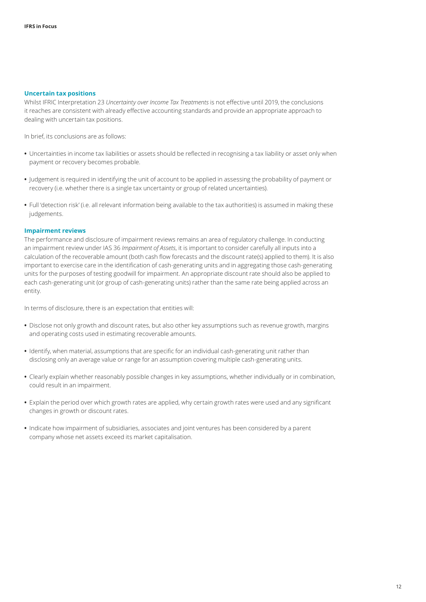#### <span id="page-11-0"></span>**Uncertain tax positions**

Whilst IFRIC Interpretation 23 *Uncertainty over Income Tax Treatments* is not effective until 2019, the conclusions it reaches are consistent with already effective accounting standards and provide an appropriate approach to dealing with uncertain tax positions.

In brief, its conclusions are as follows:

- **•** Uncertainties in income tax liabilities or assets should be reflected in recognising a tax liability or asset only when payment or recovery becomes probable.
- **•** Judgement is required in identifying the unit of account to be applied in assessing the probability of payment or recovery (i.e. whether there is a single tax uncertainty or group of related uncertainties).
- **•** Full 'detection risk' (i.e. all relevant information being available to the tax authorities) is assumed in making these judgements.

#### <span id="page-11-1"></span>**Impairment reviews**

The performance and disclosure of impairment reviews remains an area of regulatory challenge. In conducting an impairment review under IAS 36 *Impairment of Assets*, it is important to consider carefully all inputs into a calculation of the recoverable amount (both cash flow forecasts and the discount rate(s) applied to them). It is also important to exercise care in the identification of cash-generating units and in aggregating those cash-generating units for the purposes of testing goodwill for impairment. An appropriate discount rate should also be applied to each cash-generating unit (or group of cash-generating units) rather than the same rate being applied across an entity.

In terms of disclosure, there is an expectation that entities will:

- **•** Disclose not only growth and discount rates, but also other key assumptions such as revenue growth, margins and operating costs used in estimating recoverable amounts.
- **•** Identify, when material, assumptions that are specific for an individual cash‑generating unit rather than disclosing only an average value or range for an assumption covering multiple cash-generating units.
- **•** Clearly explain whether reasonably possible changes in key assumptions, whether individually or in combination, could result in an impairment.
- **•** Explain the period over which growth rates are applied, why certain growth rates were used and any significant changes in growth or discount rates.
- **•** Indicate how impairment of subsidiaries, associates and joint ventures has been considered by a parent company whose net assets exceed its market capitalisation.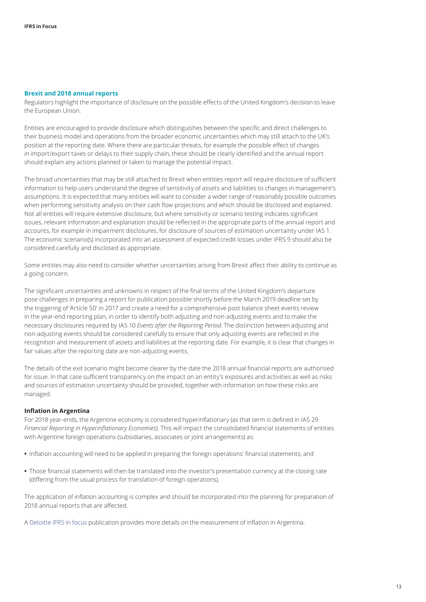#### <span id="page-12-0"></span>**Brexit and 2018 annual reports**

Regulators highlight the importance of disclosure on the possible effects of the United Kingdom's decision to leave the European Union.

Entities are encouraged to provide disclosure which distinguishes between the specific and direct challenges to their business model and operations from the broader economic uncertainties which may still attach to the UK's position at the reporting date. Where there are particular threats, for example the possible effect of changes in import/export taxes or delays to their supply chain, these should be clearly identified and the annual report should explain any actions planned or taken to manage the potential impact.

The broad uncertainties that may be still attached to Brexit when entities report will require disclosure of sufficient information to help users understand the degree of sensitivity of assets and liabilities to changes in management's assumptions. It is expected that many entities will want to consider a wider range of reasonably possible outcomes when performing sensitivity analysis on their cash flow projections and which should be disclosed and explained. Not all entities will require extensive disclosure, but where sensitivity or scenario testing indicates significant issues, relevant information and explanation should be reflected in the appropriate parts of the annual report and accounts, for example in impairment disclosures, for disclosure of sources of estimation uncertainty under IAS 1. The economic scenario(s) incorporated into an assessment of expected credit losses under IFRS 9 should also be considered carefully and disclosed as appropriate.

Some entities may also need to consider whether uncertainties arising from Brexit affect their ability to continue as a going concern.

The significant uncertainties and unknowns in respect of the final terms of the United Kingdom's departure pose challenges in preparing a report for publication possible shortly before the March 2019 deadline set by the triggering of 'Article 50' in 2017 and create a need for a comprehensive post balance sheet events review in the year-end reporting plan, in order to identify both adjusting and non-adjusting events and to make the necessary disclosures required by IAS 10 *Events after the Reporting Period*. The distinction between adjusting and non-adjusting events should be considered carefully to ensure that only adjusting events are reflected in the recognition and measurement of assets and liabilities at the reporting date. For example, it is clear that changes in fair values after the reporting date are non-adjusting events.

The details of the exit scenario might become clearer by the date the 2018 annual financial reports are authorised for issue. In that case sufficient transparency on the impact on an entity's exposures and activities as well as risks and sources of estimation uncertainty should be provided, together with information on how these risks are managed.

#### **Inflation in Argentina**

For 2018 year-ends, the Argentine economy is considered hyperinflationary (as that term is defined in IAS 29 *Financial Reporting in Hyperinflationary Economies*). This will impact the consolidated financial statements of entities with Argentine foreign operations (subsidiaries, associates or joint arrangements) as:

- **•** Inflation accounting will need to be applied in preparing the foreign operations' financial statements; and
- **•** Those financial statements will then be translated into the investor's presentation currency at the closing rate (differing from the usual process for translation of foreign operations).

The application of inflation accounting is complex and should be incorporated into the planning for preparation of 2018 annual reports that are affected.

A [Deloitte IFRS in focus](https://www.iasplus.com/en/publications/global/ifrs-in-focus/2018/argentina) publication provides more details on the measurement of inflation in Argentina.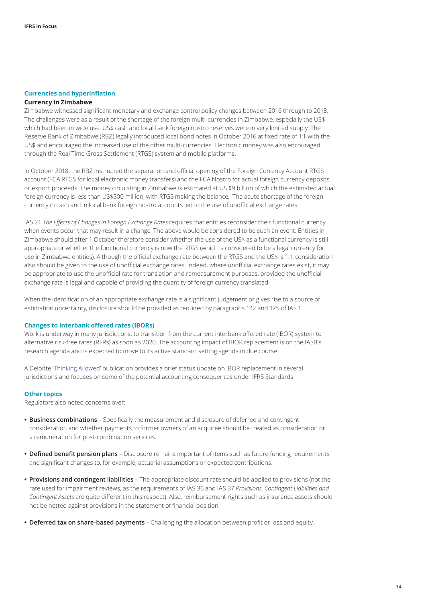#### <span id="page-13-0"></span>**Currencies and hyperinflation**

#### **Currency in Zimbabwe**

Zimbabwe witnessed significant monetary and exchange control policy changes between 2016 through to 2018. The challenges were as a result of the shortage of the foreign multi-currencies in Zimbabwe, especially the US\$ which had been in wide use. US\$ cash and local bank foreign nostro reserves were in very limited supply. The Reserve Bank of Zimbabwe (RBZ) legally introduced local bond notes in October 2016 at fixed rate of 1:1 with the US\$ and encouraged the increased use of the other multi-currencies. Electronic money was also encouraged through the Real Time Gross Settlement (RTGS) system and mobile platforms.

In October 2018, the RBZ instructed the separation and official opening of the Foreign Currency Account RTGS account (FCA RTGS for local electronic money transfers) and the FCA Nostro for actual foreign currency deposits or export proceeds. The money circulating in Zimbabwe is estimated at US \$9 billion of which the estimated actual foreign currency is less than US\$500 million, with RTGS making the balance, The acute shortage of the foreign currency in cash and in local bank foreign nostro accounts led to the use of unofficial exchange rates.

IAS 21 *The Effects of Changes in Foreign Exchange Rates* requires that entities reconsider their functional currency when events occur that may result in a change. The above would be considered to be such an event. Entities in Zimbabwe should after 1 October therefore consider whether the use of the US\$ as a functional currency is still appropriate or whether the functional currency is now the RTGS (which is considered to be a legal currency for use in Zimbabwe entities). Although the official exchange rate between the RTGS and the US\$ is 1:1, consideration also should be given to the use of unofficial exchange rates. Indeed, where unofficial exchange rates exist, it may be appropriate to use the unofficial rate for translation and remeasurement purposes, provided the unofficial exchange rate is legal and capable of providing the quantity of foreign currency translated.

When the identification of an appropriate exchange rate is a significant judgement or gives rise to a source of estimation uncertainty, disclosure should be provided as required by paragraphs 122 and 125 of IAS 1.

#### <span id="page-13-1"></span>**Changes to interbank offered rates (IBORs)**

Work is underway in many jurisdictions, to transition from the current interbank offered rate (IBOR) system to alternative risk-free rates (RFRs) as soon as 2020. The accounting impact of IBOR replacement is on the IASB's research agenda and is expected to move to its active standard setting agenda in due course.

A Deloitte ['Thinking Allowed'](https://www.iasplus.com/en/publications/global/thinking-allowed/2018/ibor-replacement) publication provides a brief status update on IBOR replacement in several jurisdictions and focuses on some of the potential accounting consequences under IFRS Standards

#### <span id="page-13-2"></span>**Other topics**

Regulators also noted concerns over:

- **• Business combinations** Specifically the measurement and disclosure of deferred and contingent consideration and whether payments to former owners of an acquiree should be treated as consideration or a remuneration for post-combination services.
- **• Defined benefit pension plans** Disclosure remains important of items such as future funding requirements and significant changes to, for example, actuarial assumptions or expected contributions.
- **• Provisions and contingent liabilities** The appropriate discount rate should be applied to provisions (not the rate used for impairment reviews, as the requirements of IAS 36 and IAS 37 *Provisions, Contingent Liabilities and Contingent Assets* are quite different in this respect). Also, reimbursement rights such as insurance assets should not be netted against provisions in the statement of financial position.
- **• Deferred tax on share‑based payments** Challenging the allocation between profit or loss and equity.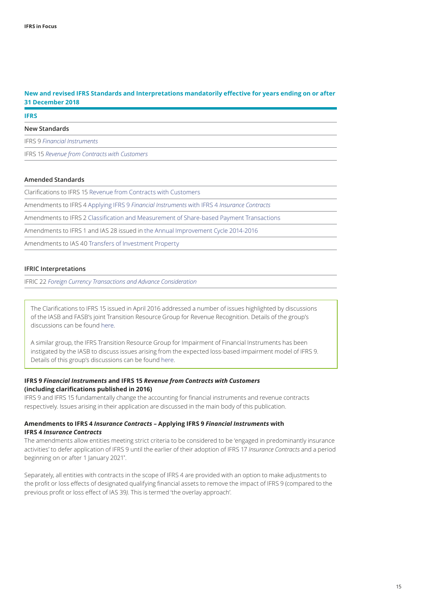#### <span id="page-14-0"></span>**New and revised IFRS Standards and Interpretations mandatorily effective for years ending on or after 31 December 2018**

#### **IFRS**

#### **New Standards**

IFRS 9 *[Financial Instruments](https://www.iasplus.com/en/publications/global/ifrs-in-focus/2016/ifrs-9)*

IFRS 15 *[Revenue from Contracts with Customers](https://www.iasplus.com/en/publications/global/ifrs-in-focus/2014/ifrs-15)*

#### **Amended Standards**

Clarifications to IFRS 15 [Revenue from Contracts with Customers](https://www.iasplus.com/en/publications/global/ifrs-in-focus/2016/ifrs-15-clarifications)

Amendments to IFRS 4 Applying IFRS 9 *[Financial Instruments](https://www.iasplus.com/en/publications/global/ifrs-in-focus/2016/ifrs-4-amendments)* with IFRS 4 *Insurance Contracts*

Amendments to IFRS 2 [Classification and Measurement of Share‑based Payment Transactions](https://www.iasplus.com/en/publications/global/ifrs-in-focus/2016/ifrs-2)

Amendments to IFRS 1 and IAS 28 issued in [the Annual Improvement Cycle 2014‑2016](https://www.iasplus.com/en/publications/global/ifrs-in-focus/2016/interpretation-amendments)

Amendments to IAS 40 [Transfers of Investment Property](https://www.iasplus.com/en/news/2016/12/ias-40)

#### **IFRIC Interpretations**

IFRIC 22 *[Foreign Currency Transactions and Advance Consideration](https://www.iasplus.com/en/publications/global/ifrs-in-focus/2016/interpretation-amendments)*

The Clarifications to IFRS 15 issued in April 2016 addressed a number of issues highlighted by discussions of the IASB and FASB's joint Transition Resource Group for Revenue Recognition. Details of the group's discussions can be found [here.](http://www.iasplus.com/en/resources/ifrsf/advisory/trg)

A similar group, the IFRS Transition Resource Group for Impairment of Financial Instruments has been instigated by the IASB to discuss issues arising from the expected loss-based impairment model of IFRS 9. Details of this group's discussions can be found [here.](http://www.iasplus.com/en/resources/ifrsf/advisory/itg)

#### **IFRS 9** *Financial Instruments* **and IFRS 15** *Revenue from Contracts with Customers* **(including clarifications published in 2016)**

IFRS 9 and IFRS 15 fundamentally change the accounting for financial instruments and revenue contracts respectively. Issues arising in their application are discussed in the main body of this publication.

#### **Amendments to IFRS 4** *Insurance Contracts* **– Applying IFRS 9** *Financial Instruments* **with IFRS 4** *Insurance Contracts*

The amendments allow entities meeting strict criteria to be considered to be 'engaged in predominantly insurance activities' to defer application of IFRS 9 until the earlier of their adoption of IFRS 17 *Insurance Contracts* and a period beginning on or after 1 January 2021\* .

Separately, all entities with contracts in the scope of IFRS 4 are provided with an option to make adjustments to the profit or loss effects of designated qualifying financial assets to remove the impact of IFRS 9 (compared to the previous profit or loss effect of IAS 39*)*. This is termed 'the overlay approach'.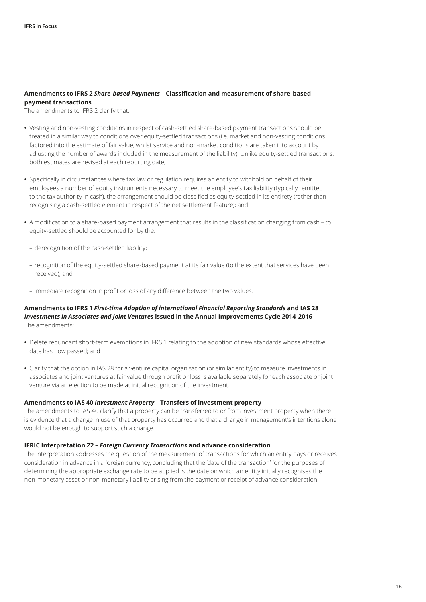#### **Amendments to IFRS 2** *Share‑based Payments* **– Classification and measurement of share‑based payment transactions**

The amendments to IFRS 2 clarify that:

- Vesting and non-vesting conditions in respect of cash-settled share-based payment transactions should be treated in a similar way to conditions over equity-settled transactions (i.e. market and non-vesting conditions factored into the estimate of fair value, whilst service and non‑market conditions are taken into account by adjusting the number of awards included in the measurement of the liability). Unlike equity-settled transactions, both estimates are revised at each reporting date;
- **•** Specifically in circumstances where tax law or regulation requires an entity to withhold on behalf of their employees a number of equity instruments necessary to meet the employee's tax liability (typically remitted to the tax authority in cash), the arrangement should be classified as equity-settled in its entirety (rather than recognising a cash‑settled element in respect of the net settlement feature); and
- A modification to a share-based payment arrangement that results in the classification changing from cash to equity‑settled should be accounted for by the:
	- derecognition of the cash‑settled liability;
	- recognition of the equity‑settled share‑based payment at its fair value (to the extent that services have been received); and
	- immediate recognition in profit or loss of any difference between the two values.

#### **Amendments to IFRS 1** *First‑time Adoption of international Financial Reporting Standards* **and IAS 28**  *Investments in Associates and Joint Ventures* **issued in the Annual Improvements Cycle 2014‑2016** The amendments:

- **•** Delete redundant short‑term exemptions in IFRS 1 relating to the adoption of new standards whose effective date has now passed; and
- **•** Clarify that the option in IAS 28 for a venture capital organisation (or similar entity) to measure investments in associates and joint ventures at fair value through profit or loss is available separately for each associate or joint venture via an election to be made at initial recognition of the investment.

#### **Amendments to IAS 40** *Investment Property* **– Transfers of investment property**

The amendments to IAS 40 clarify that a property can be transferred to or from investment property when there is evidence that a change in use of that property has occurred and that a change in management's intentions alone would not be enough to support such a change.

#### **IFRIC Interpretation 22 –** *Foreign Currency Transactions* **and advance consideration**

The interpretation addresses the question of the measurement of transactions for which an entity pays or receives consideration in advance in a foreign currency, concluding that the 'date of the transaction' for the purposes of determining the appropriate exchange rate to be applied is the date on which an entity initially recognises the non-monetary asset or non-monetary liability arising from the payment or receipt of advance consideration.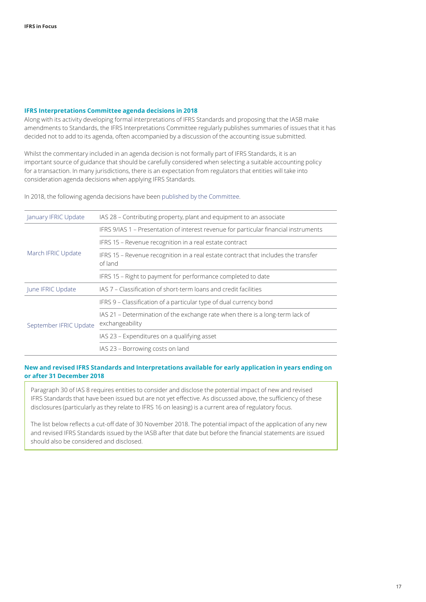#### <span id="page-16-0"></span>**IFRS Interpretations Committee agenda decisions in 2018**

Along with its activity developing formal interpretations of IFRS Standards and proposing that the IASB make amendments to Standards, the IFRS Interpretations Committee regularly publishes summaries of issues that it has decided not to add to its agenda, often accompanied by a discussion of the accounting issue submitted.

Whilst the commentary included in an agenda decision is not formally part of IFRS Standards, it is an important source of guidance that should be carefully considered when selecting a suitable accounting policy for a transaction. In many jurisdictions, there is an expectation from regulators that entities will take into consideration agenda decisions when applying IFRS Standards.

In 2018, the following agenda decisions have been published by the Committee.

| January IFRIC Update   | IAS 28 - Contributing property, plant and equipment to an associate                              |
|------------------------|--------------------------------------------------------------------------------------------------|
| March IFRIC Update     | IFRS 9/IAS 1 - Presentation of interest revenue for particular financial instruments             |
|                        | IFRS 15 - Revenue recognition in a real estate contract                                          |
|                        | IFRS 15 - Revenue recognition in a real estate contract that includes the transfer<br>of land    |
|                        | IFRS 15 - Right to payment for performance completed to date                                     |
| June IFRIC Update      | IAS 7 – Classification of short-term loans and credit facilities                                 |
| September IFRIC Update | IFRS 9 – Classification of a particular type of dual currency bond                               |
|                        | IAS 21 – Determination of the exchange rate when there is a long-term lack of<br>exchangeability |
|                        | IAS 23 - Expenditures on a qualifying asset                                                      |
|                        | IAS 23 - Borrowing costs on land                                                                 |

#### <span id="page-16-1"></span>**New and revised IFRS Standards and Interpretations available for early application in years ending on or after 31 December 2018**

Paragraph 30 of IAS 8 requires entities to consider and disclose the potential impact of new and revised IFRS Standards that have been issued but are not yet effective. As discussed above, the sufficiency of these disclosures (particularly as they relate to IFRS 16 on leasing) is a current area of regulatory focus.

The list below reflects a cut-off date of 30 November 2018. The potential impact of the application of any new and revised IFRS Standards issued by the IASB after that date but before the financial statements are issued should also be considered and disclosed.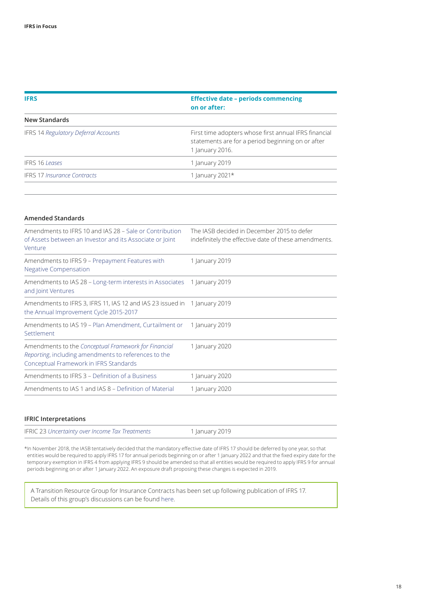| <b>IFRS</b>                                 | <b>Effective date - periods commencing</b><br>on or after:                                                                    |  |
|---------------------------------------------|-------------------------------------------------------------------------------------------------------------------------------|--|
| New Standards                               |                                                                                                                               |  |
| <b>IFRS 14 Regulatory Deferral Accounts</b> | First time adopters whose first annual IFRS financial<br>statements are for a period beginning on or after<br>1 January 2016. |  |
| <b>IFRS 16 Leases</b>                       | 1 January 2019                                                                                                                |  |
| <b>IFRS 17 Insurance Contracts</b>          | 1 January 2021 $*$                                                                                                            |  |

#### **Amended Standards**

| Amendments to IFRS 10 and IAS 28 – Sale or Contribution<br>of Assets between an Investor and its Associate or Joint<br>Venture                         | The IASB decided in December 2015 to defer<br>indefinitely the effective date of these amendments. |
|--------------------------------------------------------------------------------------------------------------------------------------------------------|----------------------------------------------------------------------------------------------------|
| Amendments to IFRS 9 – Prepayment Features with<br><b>Negative Compensation</b>                                                                        | 1 January 2019                                                                                     |
| Amendments to IAS 28 – Long-term interests in Associates<br>and Joint Ventures                                                                         | 1 January 2019                                                                                     |
| Amendments to IFRS 3, IFRS 11, IAS 12 and IAS 23 issued in<br>the Annual Improvement Cycle 2015-2017                                                   | 1 January 2019                                                                                     |
| Amendments to IAS 19 – Plan Amendment, Curtailment or<br>Settlement                                                                                    | 1 January 2019                                                                                     |
| Amendments to the Conceptual Framework for Financial<br>Reporting, including amendments to references to the<br>Conceptual Framework in IFRS Standards | 1 January 2020                                                                                     |
| Amendments to IFRS 3 – Definition of a Business                                                                                                        | 1 January 2020                                                                                     |
| Amendments to IAS 1 and IAS 8 – Definition of Material                                                                                                 | 1 January 2020                                                                                     |

#### **IFRIC Interpretations**

| IFRIC 23 Uncertainty over Income Tax Treatments | 1 January 2019 |  |
|-------------------------------------------------|----------------|--|
|-------------------------------------------------|----------------|--|

\*In November 2018, the IASB tentatively decided that the mandatory effective date of IFRS 17 should be deferred by one year, so that entities would be required to apply IFRS 17 for annual periods beginning on or after 1 January 2022 and that the fixed expiry date for the temporary exemption in IFRS 4 from applying IFRS 9 should be amended so that all entities would be required to apply IFRS 9 for annual periods beginning on or after 1 January 2022. An exposure draft proposing these changes is expected in 2019.

A Transition Resource Group for Insurance Contracts has been set up following publication of IFRS 17. Details of this group's discussions can be found [here.](https://www.iasplus.com/en/resources/ifrsf/advisory/trg-ifrs-17)